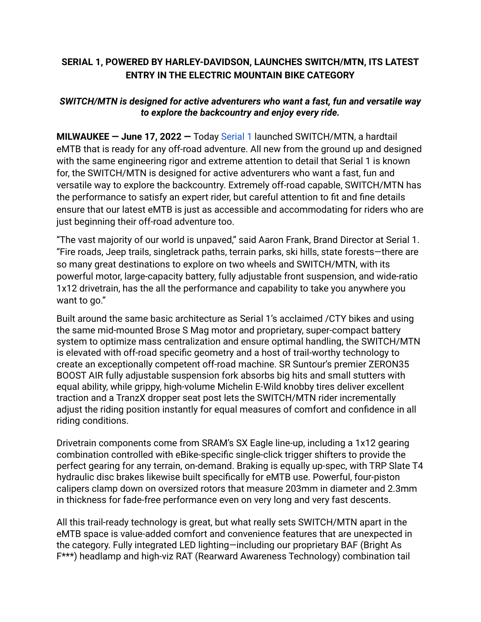## **SERIAL 1, POWERED BY HARLEY-DAVIDSON, LAUNCHES SWITCH/MTN, ITS LATEST ENTRY IN THE ELECTRIC MOUNTAIN BIKE CATEGORY**

## *SWITCH/MTN is designed for active adventurers who want a fast, fun and versatile way to explore the backcountry and enjoy every ride.*

**MILWAUKEE — June 17, 2022 —** Today [Serial 1](http://www.serial1.com) launched SWITCH/MTN, a hardtail eMTB that is ready for any off-road adventure. All new from the ground up and designed with the same engineering rigor and extreme attention to detail that Serial 1 is known for, the SWITCH/MTN is designed for active adventurers who want a fast, fun and versatile way to explore the backcountry. Extremely off-road capable, SWITCH/MTN has the performance to satisfy an expert rider, but careful attention to fit and fine details ensure that our latest eMTB is just as accessible and accommodating for riders who are just beginning their off-road adventure too.

"The vast majority of our world is unpaved," said Aaron Frank, Brand Director at Serial 1. "Fire roads, Jeep trails, singletrack paths, terrain parks, ski hills, state forests—there are so many great destinations to explore on two wheels and SWITCH/MTN, with its powerful motor, large-capacity battery, fully adjustable front suspension, and wide-ratio 1x12 drivetrain, has the all the performance and capability to take you anywhere you want to go."

Built around the same basic architecture as Serial 1's acclaimed /CTY bikes and using the same mid-mounted Brose S Mag motor and proprietary, super-compact battery system to optimize mass centralization and ensure optimal handling, the SWITCH/MTN is elevated with off-road specific geometry and a host of trail-worthy technology to create an exceptionally competent off-road machine. SR Suntour's premier ZERON35 BOOST AIR fully adjustable suspension fork absorbs big hits and small stutters with equal ability, while grippy, high-volume Michelin E-Wild knobby tires deliver excellent traction and a TranzX dropper seat post lets the SWITCH/MTN rider incrementally adjust the riding position instantly for equal measures of comfort and confidence in all riding conditions.

Drivetrain components come from SRAM's SX Eagle line-up, including a 1x12 gearing combination controlled with eBike-specific single-click trigger shifters to provide the perfect gearing for any terrain, on-demand. Braking is equally up-spec, with TRP Slate T4 hydraulic disc brakes likewise built specifically for eMTB use. Powerful, four-piston calipers clamp down on oversized rotors that measure 203mm in diameter and 2.3mm in thickness for fade-free performance even on very long and very fast descents.

All this trail-ready technology is great, but what really sets SWITCH/MTN apart in the eMTB space is value-added comfort and convenience features that are unexpected in the category. Fully integrated LED lighting—including our proprietary BAF (Bright As F\*\*\*) headlamp and high-viz RAT (Rearward Awareness Technology) combination tail